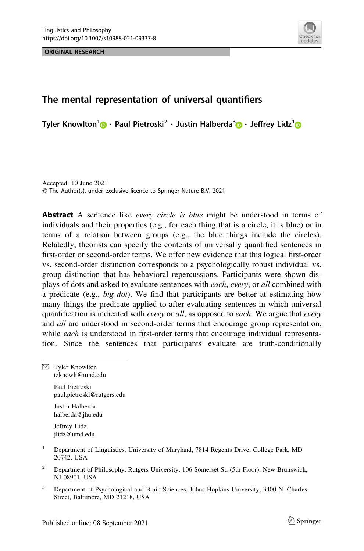ORIGINAL RESEARCH



# The mental representation of universal quantifiers

Tyler Knowlton<sup>1</sup> • Paul Pietroski<sup>2</sup> · Justin Halberda<sup>3</sup> • Jeffrey Lidz<sup>1</sup>

Accepted: 10 June 2021 © The Author(s), under exclusive licence to Springer Nature B.V. 2021

**Abstract** A sentence like *every circle is blue* might be understood in terms of individuals and their properties (e.g., for each thing that is a circle, it is blue) or in terms of a relation between groups (e.g., the blue things include the circles). Relatedly, theorists can specify the contents of universally quantified sentences in first-order or second-order terms. We offer new evidence that this logical first-order vs. second-order distinction corresponds to a psychologically robust individual vs. group distinction that has behavioral repercussions. Participants were shown displays of dots and asked to evaluate sentences with each, every, or all combined with a predicate (e.g., big dot). We find that participants are better at estimating how many things the predicate applied to after evaluating sentences in which universal quantification is indicated with every or all, as opposed to each. We argue that every and *all* are understood in second-order terms that encourage group representation, while *each* is understood in first-order terms that encourage individual representation. Since the sentences that participants evaluate are truth-conditionally

 $\boxtimes$  Tyler Knowlton tzknowlt@umd.edu

> Paul Pietroski paul.pietroski@rutgers.edu

Justin Halberda halberda@jhu.edu

Jeffrey Lidz jlidz@umd.edu

- <sup>1</sup> Department of Linguistics, University of Maryland, 7814 Regents Drive, College Park, MD 20742, USA
- <sup>2</sup> Department of Philosophy, Rutgers University, 106 Somerset St. (5th Floor), New Brunswick, NJ 08901, USA
- <sup>3</sup> Department of Psychological and Brain Sciences, Johns Hopkins University, 3400 N. Charles Street, Baltimore, MD 21218, USA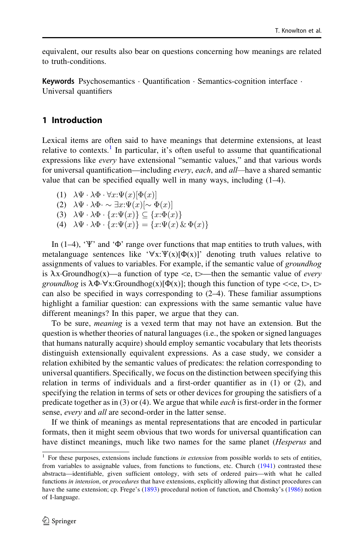equivalent, our results also bear on questions concerning how meanings are related to truth-conditions.

Keywords Psychosemantics · Quantification · Semantics-cognition interface · Universal quantifiers

## 1 Introduction

Lexical items are often said to have meanings that determine extensions, at least relative to contexts.<sup>1</sup> In particular, it's often useful to assume that quantificational expressions like every have extensional "semantic values," and that various words for universal quantification—including *every, each*, and *all*—have a shared semantic value that can be specified equally well in many ways, including (1–4).

- (1)  $\lambda \Psi \cdot \lambda \Phi \cdot \forall x \colon \Psi(x) [\Phi(x)]$
- (2)  $\lambda \Psi \cdot \lambda \Phi \cdot \sim \exists x \colon \Psi(x) [\sim \Phi(x)]$
- (3)  $\lambda \Psi \cdot \lambda \Phi \cdot \{x: \Psi(x)\} \subseteq \{x: \Phi(x)\}\$
- (4)  $\lambda \Psi \cdot \lambda \Phi \cdot \{x: \Psi(x)\} = \{x: \Psi(x) \& \Phi(x)\}\$

In  $(1-4)$ , ' $\Psi$ ' and ' $\Phi$ ' range over functions that map entities to truth values, with metalanguage sentences like ' $\forall x$ :  $\Psi(x)[\Phi(x)]$ ' denoting truth values relative to assignments of values to variables. For example, if the semantic value of groundhog is  $\lambda x$ ·Groundhog(x)—a function of type  $\lt e$ , t $\gt$ —then the semantic value of *every* groundhog is  $\lambda \Phi \forall x$ :Groundhog(x)[ $\Phi(x)$ ]; though this function of type  $\langle \langle e, t \rangle, t \rangle$ can also be specified in ways corresponding to (2–4). These familiar assumptions highlight a familiar question: can expressions with the same semantic value have different meanings? In this paper, we argue that they can.

To be sure, meaning is a vexed term that may not have an extension. But the question is whether theories of natural languages (i.e., the spoken or signed languages that humans naturally acquire) should employ semantic vocabulary that lets theorists distinguish extensionally equivalent expressions. As a case study, we consider a relation exhibited by the semantic values of predicates: the relation corresponding to universal quantifiers. Specifically, we focus on the distinction between specifying this relation in terms of individuals and a first-order quantifier as in (1) or (2), and specifying the relation in terms of sets or other devices for grouping the satisfiers of a predicate together as in  $(3)$  or  $(4)$ . We argue that while *each* is first-order in the former sense, every and all are second-order in the latter sense.

If we think of meanings as mental representations that are encoded in particular formats, then it might seem obvious that two words for universal quantification can have distinct meanings, much like two names for the same planet (*Hesperus* and

 $1$  For these purposes, extensions include functions in extension from possible worlds to sets of entities, from variables to assignable values, from functions to functions, etc. Church (1941) contrasted these abstracta—identifiable, given sufficient ontology, with sets of ordered pairs—with what he called functions in intension, or procedures that have extensions, explicitly allowing that distinct procedures can have the same extension; cp. Frege's (1893) procedural notion of function, and Chomsky's (1986) notion of I-language.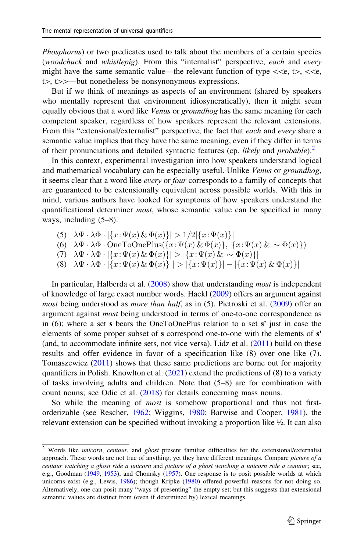Phosphorus) or two predicates used to talk about the members of a certain species (woodchuck and whistlepig). From this "internalist" perspective, each and every might have the same semantic value—the relevant function of type  $\langle\langle e, t\rangle, \langle\langle e, \rangle \rangle$  $t$ ,  $t$   $\gg$  -but nonetheless be nonsynonymous expressions.

But if we think of meanings as aspects of an environment (shared by speakers who mentally represent that environment idiosyncratically), then it might seem equally obvious that a word like *Venus* or groundhog has the same meaning for each competent speaker, regardless of how speakers represent the relevant extensions. From this "extensional/externalist" perspective, the fact that each and every share a semantic value implies that they have the same meaning, even if they differ in terms of their pronunciations and detailed syntactic features (cp. *likely* and *probable*).<sup>2</sup>

In this context, experimental investigation into how speakers understand logical and mathematical vocabulary can be especially useful. Unlike Venus or groundhog, it seems clear that a word like *every* or *four* corresponds to a family of concepts that are guaranteed to be extensionally equivalent across possible worlds. With this in mind, various authors have looked for symptoms of how speakers understand the quantificational determiner *most*, whose semantic value can be specified in many ways, including (5–8).

(5)  $\lambda \Psi \cdot \lambda \Phi \cdot |\{x: \Psi(x) \& \Phi(x)\}| > 1/2|\{x: \Psi(x)\}|$ 

(6) 
$$
\lambda \Psi \cdot \lambda \Phi \cdot \text{OneToOnePlus}(\{x: \Psi(x) \& \Phi(x)\}, \{x: \Psi(x) \& \sim \Phi(x)\})
$$
  
(7)  $\lambda \Psi \cdot \lambda \Phi \cdot (\{x: \Psi(x) \& \Phi(x)\}) > \{x: \Psi(x) \& \sim \Phi(x)\}\)$ 

(7)  $\lambda \Psi \cdot \lambda \Phi \cdot \{ \{x: \Psi(x) \& \Phi(x)\} \} > \{ \{x: \Psi(x) \& \sim \Phi(x)\} \}$ <br>(8)  $\lambda \Psi \cdot \lambda \Phi \cdot \{ \{x: \Psi(x) \& \Phi(x)\} \} > \{ \{x: \Psi(x) \} \} = \{ \{x: \Psi(x) \} \}$ 

$$
(8) \quad \lambda \Psi \cdot \lambda \Phi \cdot |\{x \cdot \Psi(x) \& \Phi(x)\}| > |\{x \cdot \Psi(x)\}| - |\{x \cdot \Psi(x) \& \Phi(x)\}|
$$

In particular, Halberda et al. (2008) show that understanding most is independent of knowledge of large exact number words. Hackl (2009) offers an argument against most being understood as *more than half*, as in (5). Pietroski et al. (2009) offer an argument against most being understood in terms of one-to-one correspondence as in (6); where a set s bears the OneToOnePlus relation to a set s' just in case the elements of some proper subset of s correspond one-to-one with the elements of s' (and, to accommodate infinite sets, not vice versa). Lidz et al.  $(2011)$  build on these results and offer evidence in favor of a specification like (8) over one like (7). Tomaszewicz  $(2011)$  shows that these same predictions are borne out for majority quantifiers in Polish. Knowlton et al. (2021) extend the predictions of (8) to a variety of tasks involving adults and children. Note that (5–8) are for combination with count nouns; see Odic et al. (2018) for details concerning mass nouns.

So while the meaning of *most* is somehow proportional and thus not firstorderizable (see Rescher, 1962; Wiggins, 1980; Barwise and Cooper, 1981), the relevant extension can be specified without invoking a proportion like ½. It can also

 $2$  Words like *unicorn*, *centaur*, and *ghost* present familiar difficulties for the extensional/externalist approach. These words are not true of anything, yet they have different meanings. Compare picture of  $a$ centaur watching a ghost ride a unicorn and picture of a ghost watching a unicorn ride a centaur; see, e.g., Goodman (1949, 1953), and Chomsky (1957). One response is to posit possible worlds at which unicorns exist (e.g., Lewis, 1986); though Kripke (1980) offered powerful reasons for not doing so. Alternatively, one can posit many "ways of presenting" the empty set; but this suggests that extensional semantic values are distinct from (even if determined by) lexical meanings.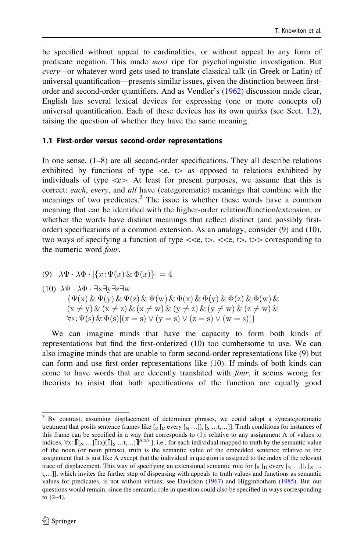be specified without appeal to cardinalities, or without appeal to any form of predicate negation. This made most ripe for psycholinguistic investigation. But every—or whatever word gets used to translate classical talk (in Greek or Latin) of universal quantification—presents similar issues, given the distinction between firstorder and second-order quantifiers. And as Vendler's (1962) discussion made clear, English has several lexical devices for expressing (one or more concepts of) universal quantification. Each of these devices has its own quirks (see Sect. 1.2), raising the question of whether they have the same meaning.

## 1.1 First-order versus second-order representations

In one sense, (1–8) are all second-order specifications. They all describe relations exhibited by functions of type  $\langle e, t \rangle$  as opposed to relations exhibited by individuals of type  $\langle e \rangle$ . At least for present purposes, we assume that this is correct: each, every, and all have (categorematic) meanings that combine with the meanings of two predicates.<sup>3</sup> The issue is whether these words have a common meaning that can be identified with the higher-order relation/function/extension, or whether the words have distinct meanings that reflect distinct (and possibly firstorder) specifications of a common extension. As an analogy, consider (9) and (10), two ways of specifying a function of type  $\langle\langle e, t\rangle, \langle \langle e, t\rangle, t\rangle$  corresponding to the numeric word four.

- (9)  $\lambda \Psi \cdot \lambda \Phi \cdot |\{x: \Psi(x) \& \Phi(x)\}| = 4$
- $(10)$   $\lambda \Psi \cdot \lambda \Phi \cdot \exists x \exists y \exists z \exists w$

$$
\{\Psi(x) \& \Psi(y) \& \Psi(z) \& \Psi(w) \& \Phi(x) \& \Phi(y) \& \Phi(z) \& \Phi(w) \&
$$
  

$$
(x \neq y) \& (x \neq z) \& (x \neq w) \& (y \neq z) \& (y \neq w) \& (z \neq w) \&
$$
  

$$
\forall s: \Psi(s) \& \Phi(s)[(x = s) \lor (y = s) \lor (z = s) \lor (w = s)]\}
$$

We can imagine minds that have the capacity to form both kinds of representations but find the first-orderized (10) too cumbersome to use. We can also imagine minds that are unable to form second-order representations like (9) but can form and use first-order representations like (10). If minds of both kinds can come to have words that are decently translated with *four*, it seems wrong for theorists to insist that both specifications of the function are equally good

<sup>&</sup>lt;sup>3</sup> By contrast, assuming displacement of determiner phrases, we could adopt a syncategorematic treatment that posits sentence frames like  $\left[\S \right]_{D}$  every  $\left[\S \dots \right]_{i} \left[\S \dots t_{i} \dots \right]$ . Truth conditions for instances of this frame can be specified in a way that corresponds to (1): relative to any assignment A of values to indices,  $\forall x: [\![ [x] \dots ]\!] \cdot [x] \cdot [[s] \dots [t] \dots ] \cdot ] \cdot [A \cdot x \cdot k]$ ; i.e., for each individual mapped to truth by the semantic value<br>of the noun (or noun phrase), truth is the semantic value of the embedded sentence relative to the of the noun (or noun phrase), truth is the semantic value of the embedded sentence relative to the assignment that is just like A except that the individual in question is assigned to the index of the relevant trace of displacement. This way of specifying an extensional semantic role for  $\left[\mathbf{s}\right]\left[\mathbf{p}\right]$  every  $\left[\mathbf{N}\cdots\right]\left]\mathbf{i}\right]$  [s  $\cdots$  $[t,...]$ , which invites the further step of dispensing with appeals to truth values and functions as semantic values for predicates, is not without virtues; see Davidson (1967) and Higginbotham (1985). But our questions would remain, since the semantic role in question could also be specified in ways corresponding to (2–4).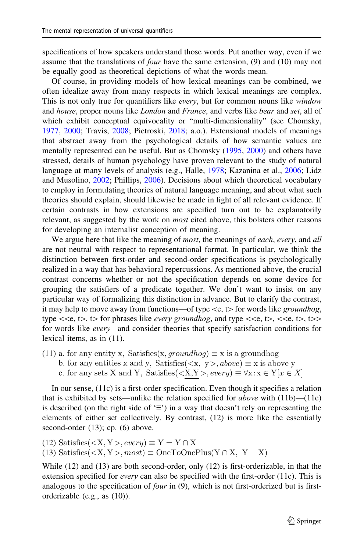specifications of how speakers understand those words. Put another way, even if we assume that the translations of four have the same extension, (9) and (10) may not be equally good as theoretical depictions of what the words mean.

Of course, in providing models of how lexical meanings can be combined, we often idealize away from many respects in which lexical meanings are complex. This is not only true for quantifiers like *every*, but for common nouns like *window* and house, proper nouns like London and France, and verbs like bear and set, all of which exhibit conceptual equivocality or "multi-dimensionality" (see Chomsky, 1977, 2000; Travis, 2008; Pietroski, 2018; a.o.). Extensional models of meanings that abstract away from the psychological details of how semantic values are mentally represented can be useful. But as Chomsky (1995, 2000) and others have stressed, details of human psychology have proven relevant to the study of natural language at many levels of analysis (e.g., Halle, 1978; Kazanina et al., 2006; Lidz and Musolino, 2002; Phillips, 2006). Decisions about which theoretical vocabulary to employ in formulating theories of natural language meaning, and about what such theories should explain, should likewise be made in light of all relevant evidence. If certain contrasts in how extensions are specified turn out to be explanatorily relevant, as suggested by the work on *most* cited above, this bolsters other reasons for developing an internalist conception of meaning.

We argue here that like the meaning of *most*, the meanings of *each*, *every*, and all are not neutral with respect to representational format. In particular, we think the distinction between first-order and second-order specifications is psychologically realized in a way that has behavioral repercussions. As mentioned above, the crucial contrast concerns whether or not the specification depends on some device for grouping the satisfiers of a predicate together. We don't want to insist on any particular way of formalizing this distinction in advance. But to clarify the contrast, it may help to move away from functions—of type  $\langle e, t \rangle$  for words like *groundhog*, type  $\langle\langle e, t\rangle, t\rangle$  for phrases like *every groundhog*, and type  $\langle\langle e, t\rangle, \langle \langle e, t\rangle, t\rangle$ for words like *every*—and consider theories that specify satisfaction conditions for lexical items, as in (11).

(11) a. for any entity x, Satisfies  $(x, groundhog) \equiv x$  is a groundhog b. for any entities x and y, Satisfies  $(\langle x, y \rangle, above) \equiv x$  is above y c. for any sets X and Y, Satisfies $(\langle \underline{X}, \underline{Y}\rangle, every) \equiv \forall x: x \in Y[x \in X]$ 

In our sense, (11c) is a first-order specification. Even though it specifies a relation that is exhibited by sets—unlike the relation specified for *above* with  $(11b)$ — $(11c)$ is described (on the right side of '≡') in a way that doesn't rely on representing the elements of either set collectively. By contrast, (12) is more like the essentially second-order (13); cp. (6) above.

(12) Satisfies  $(\angle X, Y>, every) \equiv Y = Y \cap X$ <br>(13) Satisfies  $(\angle \overline{X}, \overline{Y}, \mod) =$  One To One (13) Satisfies( $\langle \frac{\mathbf{X}, \mathbf{Y}}{\rangle}$ , *most*)  $\equiv$  OneToOnePlus(Y  $\cap$  X, Y  $-$  X)

While (12) and (13) are both second-order, only (12) is first-orderizable, in that the extension specified for *every* can also be specified with the first-order (11c). This is analogous to the specification of  $four$  in  $(9)$ , which is not first-orderized but is firstorderizable (e.g., as (10)).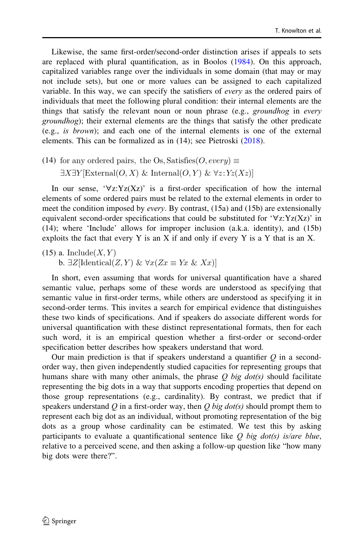Likewise, the same first-order/second-order distinction arises if appeals to sets are replaced with plural quantification, as in Boolos (1984). On this approach, capitalized variables range over the individuals in some domain (that may or may not include sets), but one or more values can be assigned to each capitalized variable. In this way, we can specify the satisfiers of every as the ordered pairs of individuals that meet the following plural condition: their internal elements are the things that satisfy the relevant noun or noun phrase (e.g., *groundhog* in *every* groundhog); their external elements are the things that satisfy the other predicate (e.g., is brown); and each one of the internal elements is one of the external elements. This can be formalized as in (14); see Pietroski (2018).

(14) for any ordered pairs, the Os, Satisfies  $(O, every) \equiv$  $\exists X \exists Y \left[ \text{External}(O, X) \& \text{Internal}(O, Y) \& \forall z \colon Yz(Xz) \right]$ 

In our sense,  $\forall z:Yz(Xz)$  is a first-order specification of how the internal elements of some ordered pairs must be related to the external elements in order to meet the condition imposed by *every*. By contrast, (15a) and (15b) are extensionally equivalent second-order specifications that could be substituted for  $\forall z:Yz(Xz)$  in (14); where 'Include' allows for improper inclusion (a.k.a. identity), and (15b) exploits the fact that every Y is an X if and only if every Y is a Y that is an X.

 $(15)$  a. Include $(X, Y)$ b.  $\exists Z[\text{Identical}(Z, Y) \& \forall x (Zx \equiv Yx \& Xx)]$ 

In short, even assuming that words for universal quantification have a shared semantic value, perhaps some of these words are understood as specifying that semantic value in first-order terms, while others are understood as specifying it in second-order terms. This invites a search for empirical evidence that distinguishes these two kinds of specifications. And if speakers do associate different words for universal quantification with these distinct representational formats, then for each such word, it is an empirical question whether a first-order or second-order specification better describes how speakers understand that word.

Our main prediction is that if speakers understand a quantifier  $Q$  in a secondorder way, then given independently studied capacities for representing groups that humans share with many other animals, the phrase  $\hat{Q}$  big  $dot(s)$  should facilitate representing the big dots in a way that supports encoding properties that depend on those group representations (e.g., cardinality). By contrast, we predict that if speakers understand Q in a first-order way, then Q big  $dot(s)$  should prompt them to represent each big dot as an individual, without promoting representation of the big dots as a group whose cardinality can be estimated. We test this by asking participants to evaluate a quantificational sentence like  $O$  big dot(s) is/are blue, relative to a perceived scene, and then asking a follow-up question like "how many big dots were there?".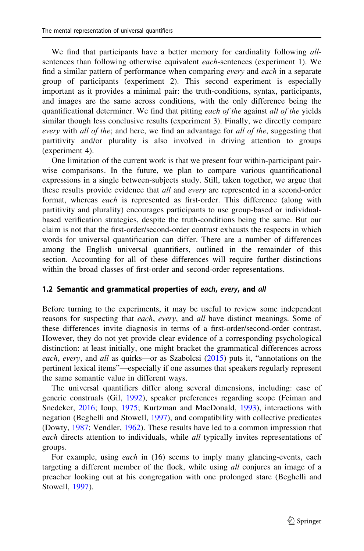We find that participants have a better memory for cardinality following allsentences than following otherwise equivalent *each*-sentences (experiment 1). We find a similar pattern of performance when comparing every and each in a separate group of participants (experiment 2). This second experiment is especially important as it provides a minimal pair: the truth-conditions, syntax, participants, and images are the same across conditions, with the only difference being the quantificational determiner. We find that pitting each of the against all of the yields similar though less conclusive results (experiment 3). Finally, we directly compare every with all of the; and here, we find an advantage for all of the, suggesting that partitivity and/or plurality is also involved in driving attention to groups (experiment 4).

One limitation of the current work is that we present four within-participant pairwise comparisons. In the future, we plan to compare various quantificational expressions in a single between-subjects study. Still, taken together, we argue that these results provide evidence that *all* and *every* are represented in a second-order format, whereas each is represented as first-order. This difference (along with partitivity and plurality) encourages participants to use group-based or individualbased verification strategies, despite the truth-conditions being the same. But our claim is not that the first-order/second-order contrast exhausts the respects in which words for universal quantification can differ. There are a number of differences among the English universal quantifiers, outlined in the remainder of this section. Accounting for all of these differences will require further distinctions within the broad classes of first-order and second-order representations.

#### 1.2 Semantic and grammatical properties of each, every, and all

Before turning to the experiments, it may be useful to review some independent reasons for suspecting that each, every, and all have distinct meanings. Some of these differences invite diagnosis in terms of a first-order/second-order contrast. However, they do not yet provide clear evidence of a corresponding psychological distinction: at least initially, one might bracket the grammatical differences across each, every, and all as quirks—or as Szabolcsi (2015) puts it, "annotations on the pertinent lexical items"—especially if one assumes that speakers regularly represent the same semantic value in different ways.

The universal quantifiers differ along several dimensions, including: ease of generic construals (Gil, 1992), speaker preferences regarding scope (Feiman and Snedeker, 2016; Ioup, 1975; Kurtzman and MacDonald, 1993), interactions with negation (Beghelli and Stowell, 1997), and compatibility with collective predicates (Dowty, 1987; Vendler, 1962). These results have led to a common impression that each directs attention to individuals, while all typically invites representations of groups.

For example, using *each* in (16) seems to imply many glancing-events, each targeting a different member of the flock, while using all conjures an image of a preacher looking out at his congregation with one prolonged stare (Beghelli and Stowell, 1997).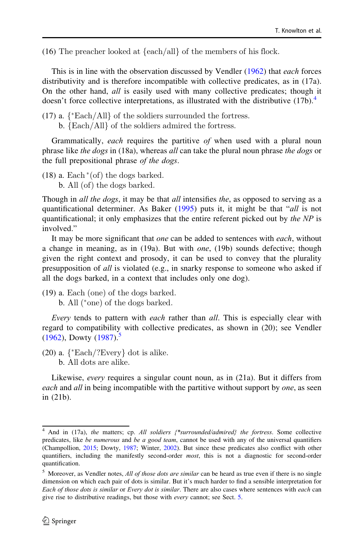$(16)$  The preacher looked at  $\{each/all\}$  of the members of his flock.

This is in line with the observation discussed by Vendler (1962) that *each* forces distributivity and is therefore incompatible with collective predicates, as in (17a). On the other hand, *all* is easily used with many collective predicates; though it doesn't force collective interpretations, as illustrated with the distributive  $(17b)$ .<sup>4</sup>

 $(17)$  a.  $\frac{1}{2}$  Each/All of the soldiers surrounded the fortress.

b.  $\{$  Each/All $\}$  of the soldiers admired the fortress.

Grammatically, each requires the partitive of when used with a plural noun phrase like *the dogs* in (18a), whereas *all* can take the plural noun phrase *the dogs* or the full prepositional phrase of the dogs.

(18) a. Each  $\text{*}$  (of) the dogs barked.

b. All  $(\text{of})$  the dogs barked.

Though in *all the dogs*, it may be that *all* intensifies the, as opposed to serving as a quantificational determiner. As Baker (1995) puts it, it might be that "all is not quantificational; it only emphasizes that the entire referent picked out by the NP is involved."

It may be more significant that *one* can be added to sentences with *each*, without a change in meaning, as in (19a). But with one, (19b) sounds defective; though given the right context and prosody, it can be used to convey that the plurality presupposition of all is violated (e.g., in snarky response to someone who asked if all the dogs barked, in a context that includes only one dog).

 $(19)$  a. Each (one) of the dogs barked.

b. All  $(*one)$  of the dogs barked.

Every tends to pattern with each rather than all. This is especially clear with regard to compatibility with collective predicates, as shown in (20); see Vendler  $(1962)$ , Dowty  $(1987)$ .<sup>5</sup>

 $(20)$  a.  $\frac{8 \text{ Each}}{2E}$  Every dot is alike.

b. All dots are alike:

Likewise, *every* requires a singular count noun, as in (21a). But it differs from each and all in being incompatible with the partitive without support by *one*, as seen in (21b).

<sup>&</sup>lt;sup>4</sup> And in (17a), the matters; cp. All soldiers {\*surrounded/admired} the fortress. Some collective predicates, like *be numerous* and *be a good team*, cannot be used with any of the universal quantifiers (Champollion, 2015; Dowty, 1987; Winter, 2002). But since these predicates also conflict with other quantifiers, including the manifestly second-order *most*, this is not a diagnostic for second-order quantification.

 $<sup>5</sup>$  Moreover, as Vendler notes, All of those dots are similar can be heard as true even if there is no single</sup> dimension on which each pair of dots is similar. But it's much harder to find a sensible interpretation for Each of those dots is similar or Every dot is similar. There are also cases where sentences with each can give rise to distributive readings, but those with every cannot; see Sect. 5.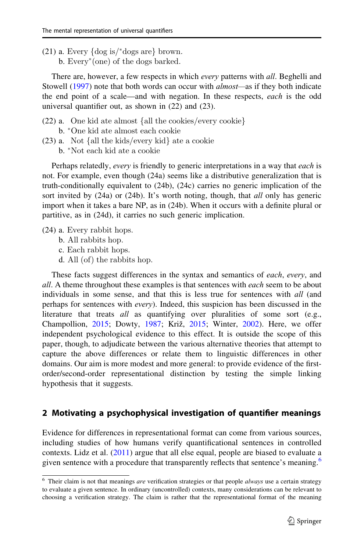$(21)$  a. Every  $\{\text{dog is}/\text{*}\text{does are}\}\$  brown. **b.** Every<sup>\*</sup>(one) of the dogs barked.

There are, however, a few respects in which *every* patterns with *all*. Beghelli and Stowell (1997) note that both words can occur with almost—as if they both indicate the end point of a scale—and with negation. In these respects, each is the odd universal quantifier out, as shown in (22) and (23).

- $(22)$  a. One kid ate almost {all the cookies/every cookie} b. \*One kid ate almost each cookie
- $(23)$  a. Not {all the kids/every kid} ate a cookie b. \*Not each kid ate a cookie

Perhaps relatedly, every is friendly to generic interpretations in a way that each is not. For example, even though (24a) seems like a distributive generalization that is truth-conditionally equivalent to (24b), (24c) carries no generic implication of the sort invited by (24a) or (24b). It's worth noting, though, that *all* only has generic import when it takes a bare NP, as in (24b). When it occurs with a definite plural or partitive, as in (24d), it carries no such generic implication.

(24) a. Every rabbit hops:

- b. All rabbits hop:
- c. Each rabbit hops:
- d. All  $(\text{of})$  the rabbits hop.

These facts suggest differences in the syntax and semantics of *each*, *every*, and all. A theme throughout these examples is that sentences with *each* seem to be about individuals in some sense, and that this is less true for sentences with all (and perhaps for sentences with every). Indeed, this suspicion has been discussed in the literature that treats *all* as quantifying over pluralities of some sort (e.g., Champollion, 2015; Dowty, 1987; Križ, 2015; Winter, 2002). Here, we offer independent psychological evidence to this effect. It is outside the scope of this paper, though, to adjudicate between the various alternative theories that attempt to capture the above differences or relate them to linguistic differences in other domains. Our aim is more modest and more general: to provide evidence of the firstorder/second-order representational distinction by testing the simple linking hypothesis that it suggests.

## 2 Motivating a psychophysical investigation of quantifier meanings

Evidence for differences in representational format can come from various sources, including studies of how humans verify quantificational sentences in controlled contexts. Lidz et al. (2011) argue that all else equal, people are biased to evaluate a given sentence with a procedure that transparently reflects that sentence's meaning.<sup>6</sup>

 $6$  Their claim is not that meanings are verification strategies or that people always use a certain strategy to evaluate a given sentence. In ordinary (uncontrolled) contexts, many considerations can be relevant to choosing a verification strategy. The claim is rather that the representational format of the meaning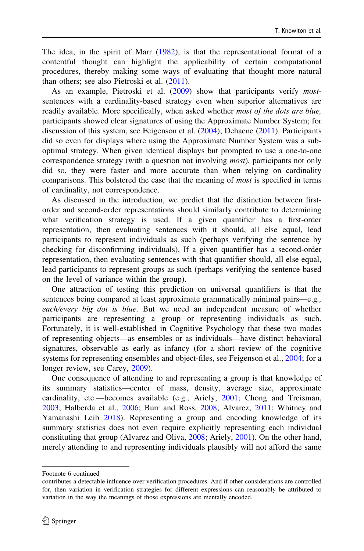The idea, in the spirit of Marr (1982), is that the representational format of a contentful thought can highlight the applicability of certain computational procedures, thereby making some ways of evaluating that thought more natural than others; see also Pietroski et al. (2011).

As an example, Pietroski et al. (2009) show that participants verify mostsentences with a cardinality-based strategy even when superior alternatives are readily available. More specifically, when asked whether most of the dots are blue, participants showed clear signatures of using the Approximate Number System; for discussion of this system, see Feigenson et al. (2004); Dehaene (2011). Participants did so even for displays where using the Approximate Number System was a suboptimal strategy. When given identical displays but prompted to use a one-to-one correspondence strategy (with a question not involving *most*), participants not only did so, they were faster and more accurate than when relying on cardinality comparisons. This bolstered the case that the meaning of most is specified in terms of cardinality, not correspondence.

As discussed in the introduction, we predict that the distinction between firstorder and second-order representations should similarly contribute to determining what verification strategy is used. If a given quantifier has a first-order representation, then evaluating sentences with it should, all else equal, lead participants to represent individuals as such (perhaps verifying the sentence by checking for disconfirming individuals). If a given quantifier has a second-order representation, then evaluating sentences with that quantifier should, all else equal, lead participants to represent groups as such (perhaps verifying the sentence based on the level of variance within the group).

One attraction of testing this prediction on universal quantifiers is that the sentences being compared at least approximate grammatically minimal pairs—e.g., each/every big dot is blue. But we need an independent measure of whether participants are representing a group or representing individuals as such. Fortunately, it is well-established in Cognitive Psychology that these two modes of representing objects—as ensembles or as individuals—have distinct behavioral signatures, observable as early as infancy (for a short review of the cognitive systems for representing ensembles and object-files, see Feigenson et al., 2004; for a longer review, see Carey, 2009).

One consequence of attending to and representing a group is that knowledge of its summary statistics—center of mass, density, average size, approximate cardinality, etc.—becomes available (e.g., Ariely, 2001; Chong and Treisman, 2003; Halberda et al., 2006; Burr and Ross, 2008; Alvarez, 2011; Whitney and Yamanashi Leib 2018). Representing a group and encoding knowledge of its summary statistics does not even require explicitly representing each individual constituting that group (Alvarez and Oliva, 2008; Ariely, 2001). On the other hand, merely attending to and representing individuals plausibly will not afford the same

Footnote 6 continued

contributes a detectable influence over verification procedures. And if other considerations are controlled for, then variation in verification strategies for different expressions can reasonably be attributed to variation in the way the meanings of those expressions are mentally encoded.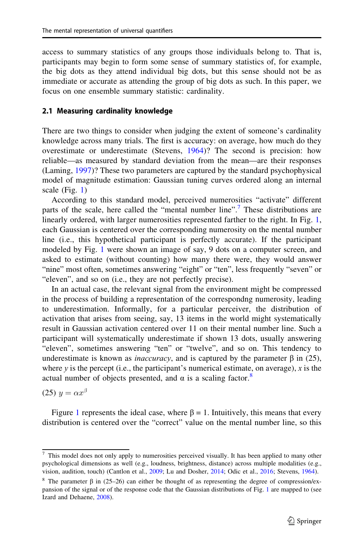access to summary statistics of any groups those individuals belong to. That is, participants may begin to form some sense of summary statistics of, for example, the big dots as they attend individual big dots, but this sense should not be as immediate or accurate as attending the group of big dots as such. In this paper, we focus on one ensemble summary statistic: cardinality.

#### 2.1 Measuring cardinality knowledge

There are two things to consider when judging the extent of someone's cardinality knowledge across many trials. The first is accuracy: on average, how much do they overestimate or underestimate (Stevens, 1964)? The second is precision: how reliable—as measured by standard deviation from the mean—are their responses (Laming, 1997)? These two parameters are captured by the standard psychophysical model of magnitude estimation: Gaussian tuning curves ordered along an internal scale (Fig. 1)

According to this standard model, perceived numerosities "activate" different parts of the scale, here called the "mental number line".<sup>7</sup> These distributions are linearly ordered, with larger numerosities represented farther to the right. In Fig. 1, each Gaussian is centered over the corresponding numerosity on the mental number line (i.e., this hypothetical participant is perfectly accurate). If the participant modeled by Fig. 1 were shown an image of say, 9 dots on a computer screen, and asked to estimate (without counting) how many there were, they would answer "nine" most often, sometimes answering "eight" or "ten", less frequently "seven" or "eleven", and so on (i.e., they are not perfectly precise).

In an actual case, the relevant signal from the environment might be compressed in the process of building a representation of the correspondng numerosity, leading to underestimation. Informally, for a particular perceiver, the distribution of activation that arises from seeing, say, 13 items in the world might systematically result in Gaussian activation centered over 11 on their mental number line. Such a participant will systematically underestimate if shown 13 dots, usually answering "eleven", sometimes answering "ten" or "twelve", and so on. This tendency to underestimate is known as *inaccuracy*, and is captured by the parameter  $β$  in (25), where  $y$  is the percept (i.e., the participant's numerical estimate, on average),  $x$  is the actual number of objects presented, and  $\alpha$  is a scaling factor.<sup>8</sup>

 $(25)$   $y = \alpha x^{\beta}$ 

Figure 1 represents the ideal case, where  $\beta = 1$ . Intuitively, this means that every distribution is centered over the "correct" value on the mental number line, so this

 $7$  This model does not only apply to numerosities perceived visually. It has been applied to many other psychological dimensions as well (e.g., loudness, brightness, distance) across multiple modalities (e.g., vision, audition, touch) (Cantlon et al., 2009; Lu and Dosher, 2014; Odic et al., 2016; Stevens, 1964).

<sup>8</sup> The parameter β in (25–26) can either be thought of as representing the degree of compression/expansion of the signal or of the response code that the Gaussian distributions of Fig. 1 are mapped to (see Izard and Dehaene, 2008).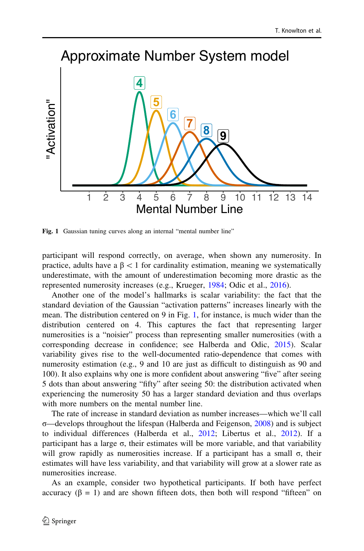

Fig. 1 Gaussian tuning curves along an internal "mental number line"

participant will respond correctly, on average, when shown any numerosity. In practice, adults have a  $\beta$  < 1 for cardinality estimation, meaning we systematically underestimate, with the amount of underestimation becoming more drastic as the represented numerosity increases (e.g., Krueger, 1984; Odic et al., 2016).

Another one of the model's hallmarks is scalar variability: the fact that the standard deviation of the Gaussian "activation patterns" increases linearly with the mean. The distribution centered on 9 in Fig. 1, for instance, is much wider than the distribution centered on 4. This captures the fact that representing larger numerosities is a "noisier" process than representing smaller numerosities (with a corresponding decrease in confidence; see Halberda and Odic, 2015). Scalar variability gives rise to the well-documented ratio-dependence that comes with numerosity estimation (e.g., 9 and 10 are just as difficult to distinguish as 90 and 100). It also explains why one is more confident about answering "five" after seeing 5 dots than about answering "fifty" after seeing 50: the distribution activated when experiencing the numerosity 50 has a larger standard deviation and thus overlaps with more numbers on the mental number line.

The rate of increase in standard deviation as number increases—which we'll call σ—develops throughout the lifespan (Halberda and Feigenson, 2008) and is subject to individual differences (Halberda et al., 2012; Libertus et al., 2012). If a participant has a large σ, their estimates will be more variable, and that variability will grow rapidly as numerosities increase. If a participant has a small  $\sigma$ , their estimates will have less variability, and that variability will grow at a slower rate as numerosities increase.

As an example, consider two hypothetical participants. If both have perfect accuracy  $(\beta = 1)$  and are shown fifteen dots, then both will respond "fifteen" on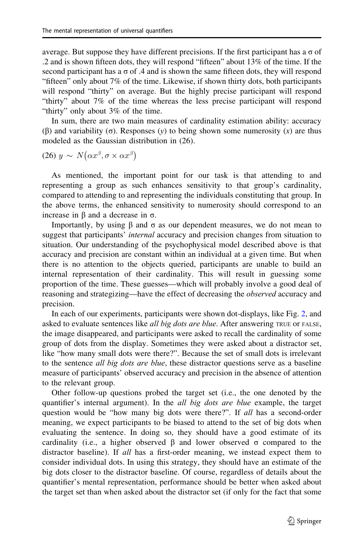average. But suppose they have different precisions. If the first participant has a  $\sigma$  of .2 and is shown fifteen dots, they will respond "fifteen" about 13% of the time. If the second participant has a  $\sigma$  of .4 and is shown the same fifteen dots, they will respond "fifteen" only about 7% of the time. Likewise, if shown thirty dots, both participants will respond "thirty" on average. But the highly precise participant will respond "thirty" about 7% of the time whereas the less precise participant will respond "thirty" only about 3% of the time.

In sum, there are two main measures of cardinality estimation ability: accuracy (β) and variability (σ). Responses (y) to being shown some numerosity (x) are thus modeled as the Gaussian distribution in (26).

(26)  $y \sim N(\alpha x^{\beta}, \sigma \times \alpha x^{\beta})$ 

As mentioned, the important point for our task is that attending to and representing a group as such enhances sensitivity to that group's cardinality, compared to attending to and representing the individuals constituting that group. In the above terms, the enhanced sensitivity to numerosity should correspond to an increase in β and a decrease in σ.

Importantly, by using β and  $\sigma$  as our dependent measures, we do not mean to suggest that participants' *internal* accuracy and precision changes from situation to situation. Our understanding of the psychophysical model described above is that accuracy and precision are constant within an individual at a given time. But when there is no attention to the objects queried, participants are unable to build an internal representation of their cardinality. This will result in guessing some proportion of the time. These guesses—which will probably involve a good deal of reasoning and strategizing—have the effect of decreasing the observed accuracy and precision.

In each of our experiments, participants were shown dot-displays, like Fig. 2, and asked to evaluate sentences like *all big dots are blue*. After answering TRUE or FALSE, the image disappeared, and participants were asked to recall the cardinality of some group of dots from the display. Sometimes they were asked about a distractor set, like "how many small dots were there?". Because the set of small dots is irrelevant to the sentence *all big dots are blue*, these distractor questions serve as a baseline measure of participants' observed accuracy and precision in the absence of attention to the relevant group.

Other follow-up questions probed the target set (i.e., the one denoted by the quantifier's internal argument). In the *all big dots are blue* example, the target question would be "how many big dots were there?". If all has a second-order meaning, we expect participants to be biased to attend to the set of big dots when evaluating the sentence. In doing so, they should have a good estimate of its cardinality (i.e., a higher observed β and lower observed  $\sigma$  compared to the distractor baseline). If all has a first-order meaning, we instead expect them to consider individual dots. In using this strategy, they should have an estimate of the big dots closer to the distractor baseline. Of course, regardless of details about the quantifier's mental representation, performance should be better when asked about the target set than when asked about the distractor set (if only for the fact that some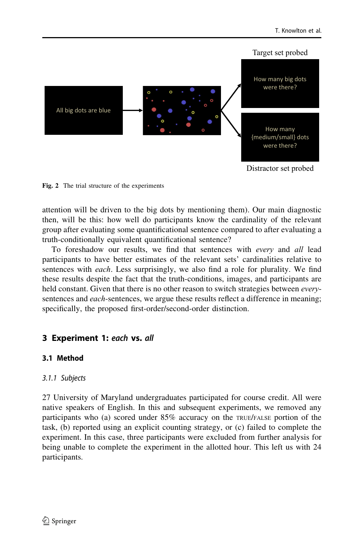

Fig. 2 The trial structure of the experiments

attention will be driven to the big dots by mentioning them). Our main diagnostic then, will be this: how well do participants know the cardinality of the relevant group after evaluating some quantificational sentence compared to after evaluating a truth-conditionally equivalent quantificational sentence?

To foreshadow our results, we find that sentences with every and all lead participants to have better estimates of the relevant sets' cardinalities relative to sentences with *each*. Less surprisingly, we also find a role for plurality. We find these results despite the fact that the truth-conditions, images, and participants are held constant. Given that there is no other reason to switch strategies between *every*sentences and *each*-sentences, we argue these results reflect a difference in meaning; specifically, the proposed first-order/second-order distinction.

## 3 Experiment 1: each vs. all

## 3.1 Method

#### 3.1.1 Subjects

27 University of Maryland undergraduates participated for course credit. All were native speakers of English. In this and subsequent experiments, we removed any participants who (a) scored under 85% accuracy on the TRUE/FALSE portion of the task, (b) reported using an explicit counting strategy, or (c) failed to complete the experiment. In this case, three participants were excluded from further analysis for being unable to complete the experiment in the allotted hour. This left us with 24 participants.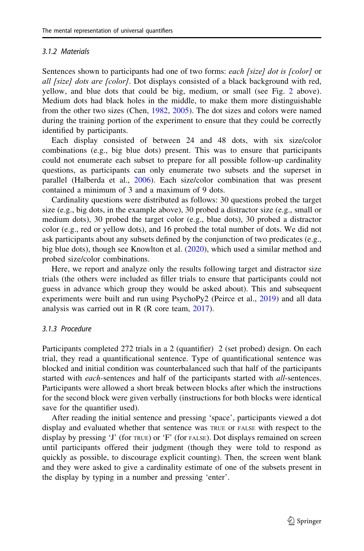#### 3.1.2 Materials

Sentences shown to participants had one of two forms: each [size] dot is [color] or all [size] dots are [color]. Dot displays consisted of a black background with red, yellow, and blue dots that could be big, medium, or small (see Fig. 2 above). Medium dots had black holes in the middle, to make them more distinguishable from the other two sizes (Chen, 1982, 2005). The dot sizes and colors were named during the training portion of the experiment to ensure that they could be correctly identified by participants.

Each display consisted of between 24 and 48 dots, with six size/color combinations (e.g., big blue dots) present. This was to ensure that participants could not enumerate each subset to prepare for all possible follow-up cardinality questions, as participants can only enumerate two subsets and the superset in parallel (Halberda et al., 2006). Each size/color combination that was present contained a minimum of 3 and a maximum of 9 dots.

Cardinality questions were distributed as follows: 30 questions probed the target size (e.g., big dots, in the example above), 30 probed a distractor size (e.g., small or medium dots), 30 probed the target color (e.g., blue dots), 30 probed a distractor color (e.g., red or yellow dots), and 16 probed the total number of dots. We did not ask participants about any subsets defined by the conjunction of two predicates (e.g., big blue dots), though see Knowlton et al. (2020), which used a similar method and probed size/color combinations.

Here, we report and analyze only the results following target and distractor size trials (the others were included as filler trials to ensure that participants could not guess in advance which group they would be asked about). This and subsequent experiments were built and run using PsychoPy2 (Peirce et al., 2019) and all data analysis was carried out in R (R core team, 2017).

#### 3.1.3 Procedure

Participants completed 272 trials in a 2 (quantifier) 2 (set probed) design. On each trial, they read a quantificational sentence. Type of quantificational sentence was blocked and initial condition was counterbalanced such that half of the participants started with *each*-sentences and half of the participants started with *all*-sentences. Participants were allowed a short break between blocks after which the instructions for the second block were given verbally (instructions for both blocks were identical save for the quantifier used).

After reading the initial sentence and pressing 'space', participants viewed a dot display and evaluated whether that sentence was TRUE or FALSE with respect to the display by pressing 'J' (for TRUE) or 'F' (for FALSE). Dot displays remained on screen until participants offered their judgment (though they were told to respond as quickly as possible, to discourage explicit counting). Then, the screen went blank and they were asked to give a cardinality estimate of one of the subsets present in the display by typing in a number and pressing 'enter'.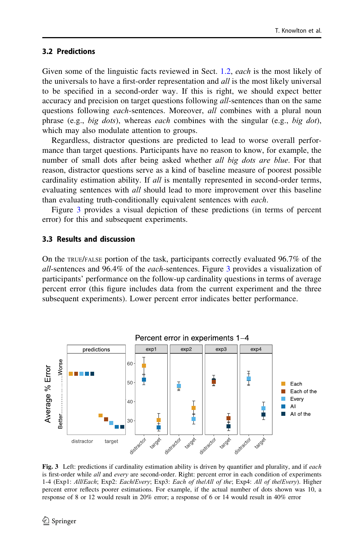#### 3.2 Predictions

Given some of the linguistic facts reviewed in Sect. 1.2, each is the most likely of the universals to have a first-order representation and *all* is the most likely universal to be specified in a second-order way. If this is right, we should expect better accuracy and precision on target questions following all-sentences than on the same questions following *each*-sentences. Moreover, *all* combines with a plural noun phrase (e.g., big dots), whereas each combines with the singular (e.g., big dot), which may also modulate attention to groups.

Regardless, distractor questions are predicted to lead to worse overall performance than target questions. Participants have no reason to know, for example, the number of small dots after being asked whether all big dots are blue. For that reason, distractor questions serve as a kind of baseline measure of poorest possible cardinality estimation ability. If all is mentally represented in second-order terms, evaluating sentences with *all* should lead to more improvement over this baseline than evaluating truth-conditionally equivalent sentences with each.

Figure 3 provides a visual depiction of these predictions (in terms of percent error) for this and subsequent experiments.

#### 3.3 Results and discussion

On the TRUE/FALSE portion of the task, participants correctly evaluated 96.7% of the all-sentences and 96.4% of the each-sentences. Figure 3 provides a visualization of participants' performance on the follow-up cardinality questions in terms of average percent error (this figure includes data from the current experiment and the three subsequent experiments). Lower percent error indicates better performance.



Fig. 3 Left: predictions if cardinality estimation ability is driven by quantifier and plurality, and if each is first-order while all and every are second-order. Right: percent error in each condition of experiments 1-4 (Exp1: All/Each; Exp2: Each/Every; Exp3: Each of the/All of the; Exp4: All of the/Every). Higher percent error reflects poorer estimations. For example, if the actual number of dots shown was 10, a response of 8 or 12 would result in 20% error; a response of 6 or 14 would result in 40% error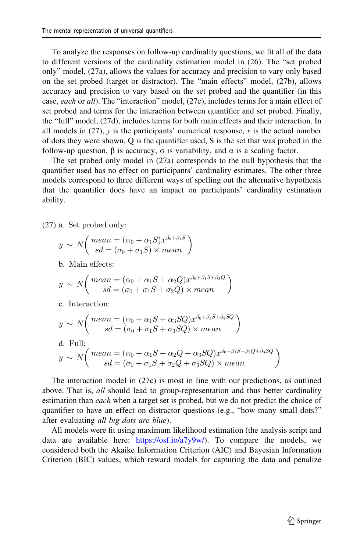To analyze the responses on follow-up cardinality questions, we fit all of the data to different versions of the cardinality estimation model in (26). The "set probed only" model, (27a), allows the values for accuracy and precision to vary only based on the set probed (target or distractor). The "main effects" model, (27b), allows accuracy and precision to vary based on the set probed and the quantifier (in this case, each or all). The "interaction" model, (27c), includes terms for a main effect of set probed and terms for the interaction between quantifier and set probed. Finally, the "full" model, (27d), includes terms for both main effects and their interaction. In all models in  $(27)$ ,  $\nu$  is the participants' numerical response,  $\chi$  is the actual number of dots they were shown, Q is the quantifier used, S is the set that was probed in the follow-up question,  $\beta$  is accuracy,  $\sigma$  is variability, and  $\alpha$  is a scaling factor.

The set probed only model in (27a) corresponds to the null hypothesis that the quantifier used has no effect on participants' cardinality estimates. The other three models correspond to three different ways of spelling out the alternative hypothesis that the quantifier does have an impact on participants' cardinality estimation ability.

(27) a. Set probed only:

$$
y \sim N\left(\begin{array}{c}\text{mean} = (\alpha_0 + \alpha_1 S)x^{\beta_0 + \beta_1 S} \\ sd = (\sigma_0 + \sigma_1 S) \times mean\end{array}\right)
$$

b. Main effects:

$$
y \sim N\left(\frac{mean = (\alpha_0 + \alpha_1 S + \alpha_2 Q)x^{\beta_0 + \beta_1 S + \beta_2 Q}}{sd = (\sigma_0 + \sigma_1 S + \sigma_2 Q) \times mean}\right)
$$

c. Interaction:

$$
y \sim N\left(\begin{array}{c} \text{mean} = (\alpha_0 + \alpha_1 S + \alpha_3 SQ)x^{\beta_0 + \beta_1 S + \beta_3 SQ} \\ sd = (\sigma_0 + \sigma_1 S + \sigma_3 SQ) \times \text{mean} \end{array}\right)
$$
  
d. Full:  

$$
y \sim N\left(\begin{array}{c} \text{mean} = (\alpha_0 + \alpha_1 S + \alpha_2 Q + \alpha_3 SQ)x^{\beta_0 + \beta_1 S + \beta_2 Q + \beta_3 SQ} \\ sd = (\sigma_0 + \sigma_1 S + \sigma_2 Q + \sigma_3 SQ) \times \text{mean} \end{array}\right)
$$

The interaction model in (27c) is most in line with our predictions, as outlined above. That is, all should lead to group-representation and thus better cardinality estimation than *each* when a target set is probed, but we do not predict the choice of quantifier to have an effect on distractor questions (e.g., "how many small dots?" after evaluating all big dots are blue).

All models were fit using maximum likelihood estimation (the analysis script and data are available here: https://osf.io/a7y9w/). To compare the models, we considered both the Akaike Information Criterion (AIC) and Bayesian Information Criterion (BIC) values, which reward models for capturing the data and penalize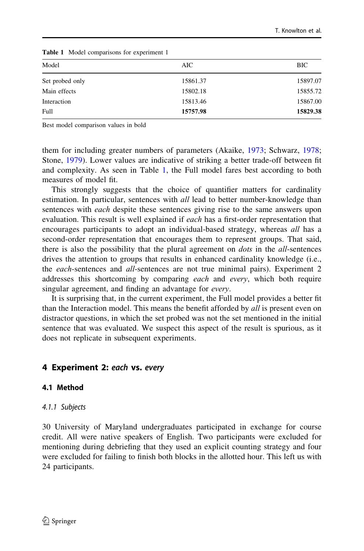| Model           | AIC-     | <b>BIC</b> |  |
|-----------------|----------|------------|--|
| Set probed only | 15861.37 | 15897.07   |  |
| Main effects    | 15802.18 | 15855.72   |  |
| Interaction     | 15813.46 | 15867.00   |  |
| Full            | 15757.98 | 15829.38   |  |

Table 1 Model comparisons for experiment 1

Best model comparison values in bold

them for including greater numbers of parameters (Akaike, 1973; Schwarz, 1978; Stone, 1979). Lower values are indicative of striking a better trade-off between fit and complexity. As seen in Table 1, the Full model fares best according to both measures of model fit.

This strongly suggests that the choice of quantifier matters for cardinality estimation. In particular, sentences with *all* lead to better number-knowledge than sentences with *each* despite these sentences giving rise to the same answers upon evaluation. This result is well explained if each has a first-order representation that encourages participants to adopt an individual-based strategy, whereas *all* has a second-order representation that encourages them to represent groups. That said, there is also the possibility that the plural agreement on *dots* in the *all*-sentences drives the attention to groups that results in enhanced cardinality knowledge (i.e., the each-sentences and all-sentences are not true minimal pairs). Experiment 2 addresses this shortcoming by comparing each and every, which both require singular agreement, and finding an advantage for *every*.

It is surprising that, in the current experiment, the Full model provides a better fit than the Interaction model. This means the benefit afforded by *all* is present even on distractor questions, in which the set probed was not the set mentioned in the initial sentence that was evaluated. We suspect this aspect of the result is spurious, as it does not replicate in subsequent experiments.

## 4 Experiment 2: each vs. every

#### 4.1 Method

#### 4.1.1 Subjects

30 University of Maryland undergraduates participated in exchange for course credit. All were native speakers of English. Two participants were excluded for mentioning during debriefing that they used an explicit counting strategy and four were excluded for failing to finish both blocks in the allotted hour. This left us with 24 participants.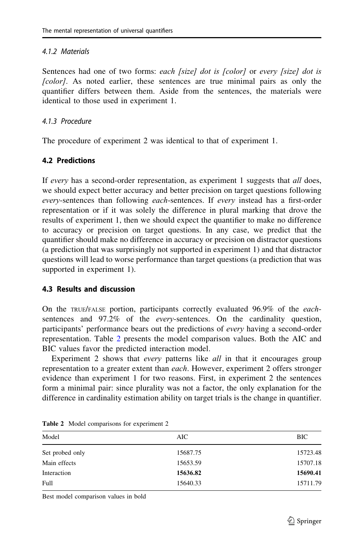#### 4.1.2 Materials

Sentences had one of two forms: each [size] dot is [color] or every [size] dot is [color]. As noted earlier, these sentences are true minimal pairs as only the quantifier differs between them. Aside from the sentences, the materials were identical to those used in experiment 1.

#### 4.1.3 Procedure

The procedure of experiment 2 was identical to that of experiment 1.

#### 4.2 Predictions

If every has a second-order representation, as experiment 1 suggests that all does, we should expect better accuracy and better precision on target questions following every-sentences than following each-sentences. If every instead has a first-order representation or if it was solely the difference in plural marking that drove the results of experiment 1, then we should expect the quantifier to make no difference to accuracy or precision on target questions. In any case, we predict that the quantifier should make no difference in accuracy or precision on distractor questions (a prediction that was surprisingly not supported in experiment 1) and that distractor questions will lead to worse performance than target questions (a prediction that was supported in experiment 1).

#### 4.3 Results and discussion

On the TRUE/FALSE portion, participants correctly evaluated 96.9% of the eachsentences and 97.2% of the every-sentences. On the cardinality question, participants' performance bears out the predictions of every having a second-order representation. Table 2 presents the model comparison values. Both the AIC and BIC values favor the predicted interaction model.

Experiment 2 shows that *every* patterns like *all* in that it encourages group representation to a greater extent than *each*. However, experiment 2 offers stronger evidence than experiment 1 for two reasons. First, in experiment 2 the sentences form a minimal pair: since plurality was not a factor, the only explanation for the difference in cardinality estimation ability on target trials is the change in quantifier.

| Model           | AIC      | <b>BIC</b> |
|-----------------|----------|------------|
| Set probed only | 15687.75 | 15723.48   |
| Main effects    | 15653.59 | 15707.18   |
| Interaction     | 15636.82 | 15690.41   |
| Full            | 15640.33 | 15711.79   |

Table 2 Model comparisons for experiment 2

Best model comparison values in bold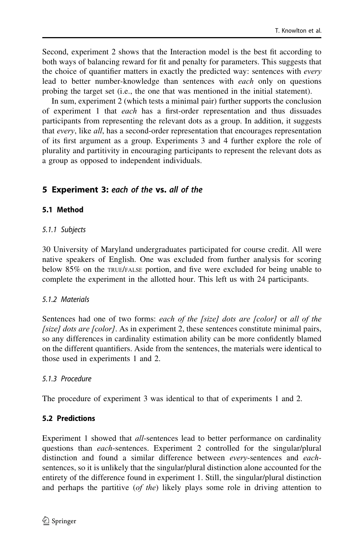Second, experiment 2 shows that the Interaction model is the best fit according to both ways of balancing reward for fit and penalty for parameters. This suggests that the choice of quantifier matters in exactly the predicted way: sentences with *every* lead to better number-knowledge than sentences with each only on questions probing the target set (i.e., the one that was mentioned in the initial statement).

In sum, experiment 2 (which tests a minimal pair) further supports the conclusion of experiment 1 that each has a first-order representation and thus dissuades participants from representing the relevant dots as a group. In addition, it suggests that every, like all, has a second-order representation that encourages representation of its first argument as a group. Experiments 3 and 4 further explore the role of plurality and partitivity in encouraging participants to represent the relevant dots as a group as opposed to independent individuals.

## 5 Experiment 3: each of the vs. all of the

## 5.1 Method

## 5.1.1 Subjects

30 University of Maryland undergraduates participated for course credit. All were native speakers of English. One was excluded from further analysis for scoring below 85% on the TRUE/FALSE portion, and five were excluded for being unable to complete the experiment in the allotted hour. This left us with 24 participants.

## 5.1.2 Materials

Sentences had one of two forms: each of the [size] dots are [color] or all of the  $[size]$  dots are  $[color]$ . As in experiment 2, these sentences constitute minimal pairs, so any differences in cardinality estimation ability can be more confidently blamed on the different quantifiers. Aside from the sentences, the materials were identical to those used in experiments 1 and 2.

## 5.1.3 Procedure

The procedure of experiment 3 was identical to that of experiments 1 and 2.

## 5.2 Predictions

Experiment 1 showed that *all*-sentences lead to better performance on cardinality questions than each-sentences. Experiment 2 controlled for the singular/plural distinction and found a similar difference between every-sentences and eachsentences, so it is unlikely that the singular/plural distinction alone accounted for the entirety of the difference found in experiment 1. Still, the singular/plural distinction and perhaps the partitive (of the) likely plays some role in driving attention to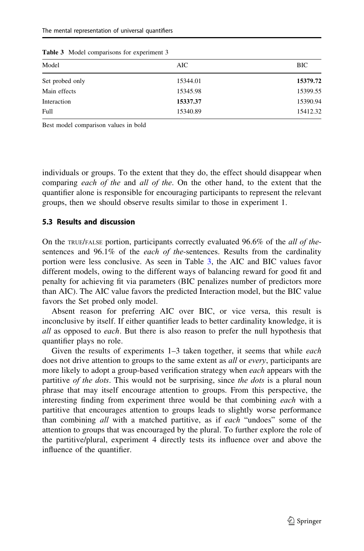| Model           | AIC      | <b>BIC</b> |
|-----------------|----------|------------|
| Set probed only | 15344.01 | 15379.72   |
| Main effects    | 15345.98 | 15399.55   |
| Interaction     | 15337.37 | 15390.94   |
| Full            | 15340.89 | 15412.32   |

Table 3 Model comparisons for experiment 3

Best model comparison values in bold

individuals or groups. To the extent that they do, the effect should disappear when comparing *each of the and all of the*. On the other hand, to the extent that the quantifier alone is responsible for encouraging participants to represent the relevant groups, then we should observe results similar to those in experiment 1.

#### 5.3 Results and discussion

On the TRUE/FALSE portion, participants correctly evaluated 96.6% of the all of thesentences and 96.1% of the *each of the-sentences*. Results from the cardinality portion were less conclusive. As seen in Table 3, the AIC and BIC values favor different models, owing to the different ways of balancing reward for good fit and penalty for achieving fit via parameters (BIC penalizes number of predictors more than AIC). The AIC value favors the predicted Interaction model, but the BIC value favors the Set probed only model.

Absent reason for preferring AIC over BIC, or vice versa, this result is inconclusive by itself. If either quantifier leads to better cardinality knowledge, it is all as opposed to each. But there is also reason to prefer the null hypothesis that quantifier plays no role.

Given the results of experiments 1–3 taken together, it seems that while each does not drive attention to groups to the same extent as *all* or *every*, participants are more likely to adopt a group-based verification strategy when *each* appears with the partitive of the dots. This would not be surprising, since the dots is a plural noun phrase that may itself encourage attention to groups. From this perspective, the interesting finding from experiment three would be that combining each with a partitive that encourages attention to groups leads to slightly worse performance than combining all with a matched partitive, as if each "undoes" some of the attention to groups that was encouraged by the plural. To further explore the role of the partitive/plural, experiment 4 directly tests its influence over and above the influence of the quantifier.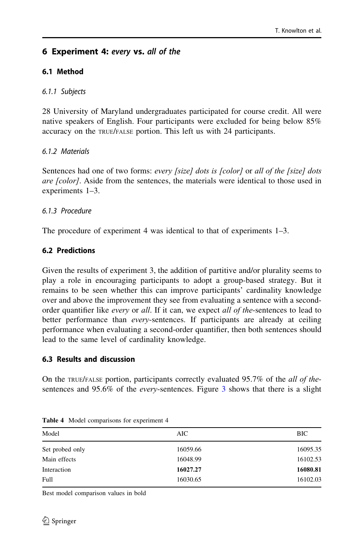## 6 Experiment 4: every vs. all of the

## 6.1 Method

## 6.1.1 Subjects

28 University of Maryland undergraduates participated for course credit. All were native speakers of English. Four participants were excluded for being below 85% accuracy on the TRUE/FALSE portion. This left us with 24 participants.

## 6.1.2 Materials

Sentences had one of two forms: every [size] dots is [color] or all of the [size] dots are [color]. Aside from the sentences, the materials were identical to those used in experiments 1–3.

## 6.1.3 Procedure

The procedure of experiment 4 was identical to that of experiments 1–3.

## 6.2 Predictions

Given the results of experiment 3, the addition of partitive and/or plurality seems to play a role in encouraging participants to adopt a group-based strategy. But it remains to be seen whether this can improve participants' cardinality knowledge over and above the improvement they see from evaluating a sentence with a secondorder quantifier like *every* or all. If it can, we expect all of the-sentences to lead to better performance than *every*-sentences. If participants are already at ceiling performance when evaluating a second-order quantifier, then both sentences should lead to the same level of cardinality knowledge.

#### 6.3 Results and discussion

On the TRUE/FALSE portion, participants correctly evaluated 95.7% of the all of thesentences and 95.6% of the every-sentences. Figure 3 shows that there is a slight

| Model           | AIC      | <b>BIC</b> |
|-----------------|----------|------------|
| Set probed only | 16059.66 | 16095.35   |
| Main effects    | 16048.99 | 16102.53   |
| Interaction     | 16027.27 | 16080.81   |
| Full            | 16030.65 | 16102.03   |

Table 4 Model comparisons for experiment 4

Best model comparison values in bold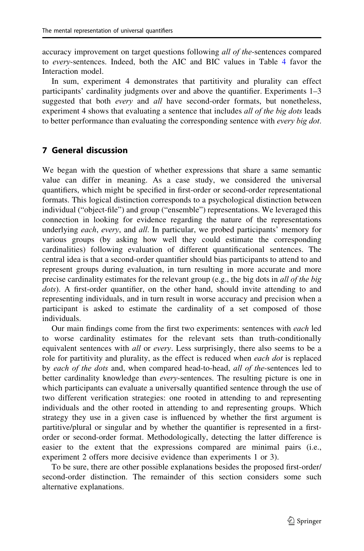accuracy improvement on target questions following all of the-sentences compared to every-sentences. Indeed, both the AIC and BIC values in Table 4 favor the Interaction model.

In sum, experiment 4 demonstrates that partitivity and plurality can effect participants' cardinality judgments over and above the quantifier. Experiments 1–3 suggested that both *every* and *all* have second-order formats, but nonetheless, experiment 4 shows that evaluating a sentence that includes *all of the big dots* leads to better performance than evaluating the corresponding sentence with *every big dot*.

#### 7 General discussion

We began with the question of whether expressions that share a same semantic value can differ in meaning. As a case study, we considered the universal quantifiers, which might be specified in first-order or second-order representational formats. This logical distinction corresponds to a psychological distinction between individual ("object-file") and group ("ensemble") representations. We leveraged this connection in looking for evidence regarding the nature of the representations underlying each, every, and all. In particular, we probed participants' memory for various groups (by asking how well they could estimate the corresponding cardinalities) following evaluation of different quantificational sentences. The central idea is that a second-order quantifier should bias participants to attend to and represent groups during evaluation, in turn resulting in more accurate and more precise cardinality estimates for the relevant group (e.g., the big dots in all of the big dots). A first-order quantifier, on the other hand, should invite attending to and representing individuals, and in turn result in worse accuracy and precision when a participant is asked to estimate the cardinality of a set composed of those individuals.

Our main findings come from the first two experiments: sentences with each led to worse cardinality estimates for the relevant sets than truth-conditionally equivalent sentences with *all* or *every*. Less surprisingly, there also seems to be a role for partitivity and plurality, as the effect is reduced when each dot is replaced by each of the dots and, when compared head-to-head, all of the-sentences led to better cardinality knowledge than *every*-sentences. The resulting picture is one in which participants can evaluate a universally quantified sentence through the use of two different verification strategies: one rooted in attending to and representing individuals and the other rooted in attending to and representing groups. Which strategy they use in a given case is influenced by whether the first argument is partitive/plural or singular and by whether the quantifier is represented in a firstorder or second-order format. Methodologically, detecting the latter difference is easier to the extent that the expressions compared are minimal pairs (i.e., experiment 2 offers more decisive evidence than experiments 1 or 3).

To be sure, there are other possible explanations besides the proposed first-order/ second-order distinction. The remainder of this section considers some such alternative explanations.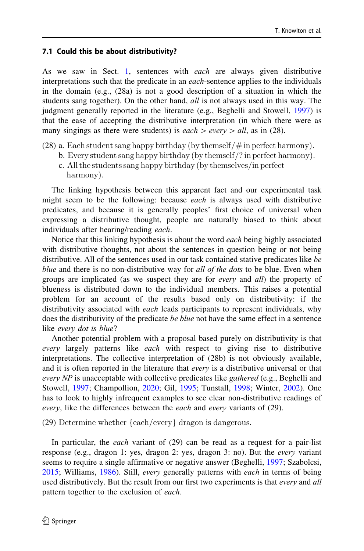## 7.1 Could this be about distributivity?

As we saw in Sect. 1, sentences with each are always given distributive interpretations such that the predicate in an each-sentence applies to the individuals in the domain (e.g., (28a) is not a good description of a situation in which the students sang together). On the other hand, *all* is not always used in this way. The judgment generally reported in the literature (e.g., Beghelli and Stowell, 1997) is that the ease of accepting the distributive interpretation (in which there were as many singings as there were students) is each  $>$  every  $>$  all, as in (28).

- (28) a. Each student sang happy birthday (by themself  $/\#$  in perfect harmony).
	- b. Every student sang happy birthday (by themself  $\gamma$  in perfect harmony).
	- c. All the students sang happy birthday (by themselves/in perfect harmony).

The linking hypothesis between this apparent fact and our experimental task might seem to be the following: because *each* is always used with distributive predicates, and because it is generally peoples' first choice of universal when expressing a distributive thought, people are naturally biased to think about individuals after hearing/reading each.

Notice that this linking hypothesis is about the word *each* being highly associated with distributive thoughts, not about the sentences in question being or not being distributive. All of the sentences used in our task contained stative predicates like be blue and there is no non-distributive way for all of the dots to be blue. Even when groups are implicated (as we suspect they are for *every* and *all*) the property of blueness is distributed down to the individual members. This raises a potential problem for an account of the results based only on distributivity: if the distributivity associated with *each* leads participants to represent individuals, why does the distributivity of the predicate *be blue* not have the same effect in a sentence like every dot is blue?

Another potential problem with a proposal based purely on distributivity is that every largely patterns like each with respect to giving rise to distributive interpretations. The collective interpretation of (28b) is not obviously available, and it is often reported in the literature that every is a distributive universal or that every NP is unacceptable with collective predicates like *gathered* (e.g., Beghelli and Stowell, 1997; Champollion, 2020; Gil, 1995; Tunstall, 1998; Winter, 2002). One has to look to highly infrequent examples to see clear non-distributive readings of every, like the differences between the *each* and *every* variants of (29).

 $(29)$  Determine whether  $\{each/every\}$  dragon is dangerous.

In particular, the *each* variant of  $(29)$  can be read as a request for a pair-list response (e.g., dragon 1: yes, dragon 2: yes, dragon 3: no). But the every variant seems to require a single affirmative or negative answer (Beghelli, 1997; Szabolcsi, 2015; Williams, 1986). Still, every generally patterns with each in terms of being used distributively. But the result from our first two experiments is that *every* and all pattern together to the exclusion of each.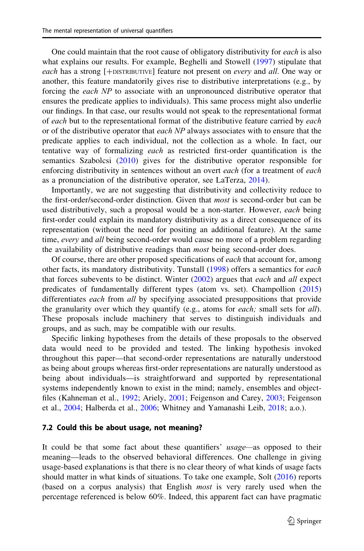One could maintain that the root cause of obligatory distributivity for each is also what explains our results. For example, Beghelli and Stowell (1997) stipulate that each has a strong [+DISTRIBUTIVE] feature not present on every and all. One way or another, this feature mandatorily gives rise to distributive interpretations (e.g., by forcing the each NP to associate with an unpronounced distributive operator that ensures the predicate applies to individuals). This same process might also underlie our findings. In that case, our results would not speak to the representational format of each but to the representational format of the distributive feature carried by each or of the distributive operator that each NP always associates with to ensure that the predicate applies to each individual, not the collection as a whole. In fact, our tentative way of formalizing each as restricted first-order quantification is the semantics Szabolcsi (2010) gives for the distributive operator responsible for enforcing distributivity in sentences without an overt *each* (for a treatment of *each*) as a pronunciation of the distributive operator, see LaTerza, 2014).

Importantly, we are not suggesting that distributivity and collectivity reduce to the first-order/second-order distinction. Given that most is second-order but can be used distributively, such a proposal would be a non-starter. However, each being first-order could explain its mandatory distributivity as a direct consequence of its representation (without the need for positing an additional feature). At the same time, every and all being second-order would cause no more of a problem regarding the availability of distributive readings than most being second-order does.

Of course, there are other proposed specifications of each that account for, among other facts, its mandatory distributivity. Tunstall (1998) offers a semantics for each that forces subevents to be distinct. Winter  $(2002)$  argues that *each* and *all* expect predicates of fundamentally different types (atom vs. set). Champollion (2015) differentiates *each* from *all* by specifying associated presuppositions that provide the granularity over which they quantify (e.g., atoms for each; small sets for all). These proposals include machinery that serves to distinguish individuals and groups, and as such, may be compatible with our results.

Specific linking hypotheses from the details of these proposals to the observed data would need to be provided and tested. The linking hypothesis invoked throughout this paper—that second-order representations are naturally understood as being about groups whereas first-order representations are naturally understood as being about individuals—is straightforward and supported by representational systems independently known to exist in the mind; namely, ensembles and objectfiles (Kahneman et al., 1992; Ariely, 2001; Feigenson and Carey, 2003; Feigenson et al., 2004; Halberda et al., 2006; Whitney and Yamanashi Leib, 2018; a.o.).

#### 7.2 Could this be about usage, not meaning?

It could be that some fact about these quantifiers' usage—as opposed to their meaning—leads to the observed behavioral differences. One challenge in giving usage-based explanations is that there is no clear theory of what kinds of usage facts should matter in what kinds of situations. To take one example, Solt (2016) reports (based on a corpus analysis) that English most is very rarely used when the percentage referenced is below 60%. Indeed, this apparent fact can have pragmatic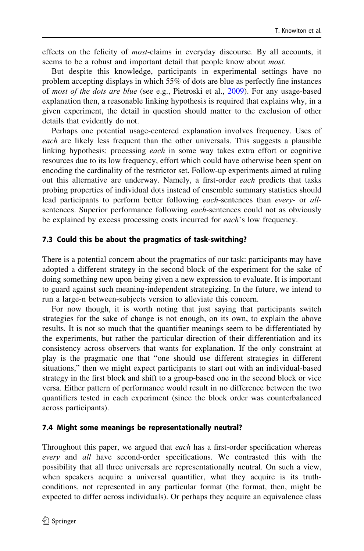effects on the felicity of *most*-claims in everyday discourse. By all accounts, it seems to be a robust and important detail that people know about most.

But despite this knowledge, participants in experimental settings have no problem accepting displays in which 55% of dots are blue as perfectly fine instances of most of the dots are blue (see e.g., Pietroski et al., 2009). For any usage-based explanation then, a reasonable linking hypothesis is required that explains why, in a given experiment, the detail in question should matter to the exclusion of other details that evidently do not.

Perhaps one potential usage-centered explanation involves frequency. Uses of each are likely less frequent than the other universals. This suggests a plausible linking hypothesis: processing *each* in some way takes extra effort or cognitive resources due to its low frequency, effort which could have otherwise been spent on encoding the cardinality of the restrictor set. Follow-up experiments aimed at ruling out this alternative are underway. Namely, a first-order each predicts that tasks probing properties of individual dots instead of ensemble summary statistics should lead participants to perform better following each-sentences than every- or allsentences. Superior performance following *each*-sentences could not as obviously be explained by excess processing costs incurred for *each*'s low frequency.

#### 7.3 Could this be about the pragmatics of task-switching?

There is a potential concern about the pragmatics of our task: participants may have adopted a different strategy in the second block of the experiment for the sake of doing something new upon being given a new expression to evaluate. It is important to guard against such meaning-independent strategizing. In the future, we intend to run a large-n between-subjects version to alleviate this concern.

For now though, it is worth noting that just saying that participants switch strategies for the sake of change is not enough, on its own, to explain the above results. It is not so much that the quantifier meanings seem to be differentiated by the experiments, but rather the particular direction of their differentiation and its consistency across observers that wants for explanation. If the only constraint at play is the pragmatic one that "one should use different strategies in different situations," then we might expect participants to start out with an individual-based strategy in the first block and shift to a group-based one in the second block or vice versa. Either pattern of performance would result in no difference between the two quantifiers tested in each experiment (since the block order was counterbalanced across participants).

#### 7.4 Might some meanings be representationally neutral?

Throughout this paper, we argued that *each* has a first-order specification whereas every and all have second-order specifications. We contrasted this with the possibility that all three universals are representationally neutral. On such a view, when speakers acquire a universal quantifier, what they acquire is its truthconditions, not represented in any particular format (the format, then, might be expected to differ across individuals). Or perhaps they acquire an equivalence class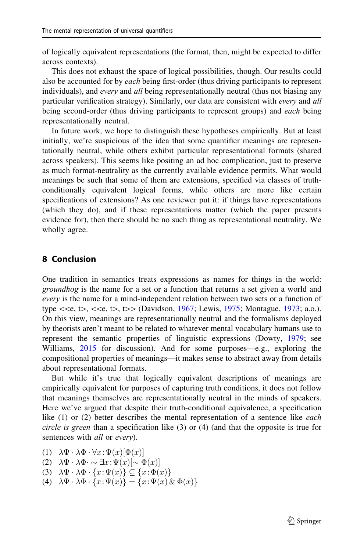of logically equivalent representations (the format, then, might be expected to differ across contexts).

This does not exhaust the space of logical possibilities, though. Our results could also be accounted for by *each* being first-order (thus driving participants to represent individuals), and every and all being representationally neutral (thus not biasing any particular verification strategy). Similarly, our data are consistent with every and all being second-order (thus driving participants to represent groups) and *each* being representationally neutral.

In future work, we hope to distinguish these hypotheses empirically. But at least initially, we're suspicious of the idea that some quantifier meanings are representationally neutral, while others exhibit particular representational formats (shared across speakers). This seems like positing an ad hoc complication, just to preserve as much format-neutrality as the currently available evidence permits. What would meanings be such that some of them are extensions, specified via classes of truthconditionally equivalent logical forms, while others are more like certain specifications of extensions? As one reviewer put it: if things have representations (which they do), and if these representations matter (which the paper presents evidence for), then there should be no such thing as representational neutrality. We wholly agree.

#### 8 Conclusion

One tradition in semantics treats expressions as names for things in the world: groundhog is the name for a set or a function that returns a set given a world and every is the name for a mind-independent relation between two sets or a function of type  $\langle\langle e, t\rangle, \langle\langle e, t\rangle, t\rangle \rangle$  (Davidson, 1967; Lewis, 1975; Montague, 1973; a.o.). On this view, meanings are representationally neutral and the formalisms deployed by theorists aren't meant to be related to whatever mental vocabulary humans use to represent the semantic properties of linguistic expressions (Dowty, 1979; see Williams, 2015 for discussion). And for some purposes—e.g., exploring the compositional properties of meanings—it makes sense to abstract away from details about representational formats.

But while it's true that logically equivalent descriptions of meanings are empirically equivalent for purposes of capturing truth conditions, it does not follow that meanings themselves are representationally neutral in the minds of speakers. Here we've argued that despite their truth-conditional equivalence, a specification like (1) or (2) better describes the mental representation of a sentence like each circle is green than a specification like (3) or (4) (and that the opposite is true for sentences with *all* or every).

- (1)  $\lambda \Psi \cdot \lambda \Phi \cdot \forall x \colon \Psi(x)[\Phi(x)]$
- (2)  $\lambda \Psi \cdot \lambda \Phi \cdot \sim \exists x \colon \Psi(x) [\sim \Phi(x)]$
- (3)  $\lambda \Psi \cdot \lambda \Phi \cdot \{x : \Psi(x)\} \subseteq \{x : \Phi(x)\}\$
- (4)  $\lambda \Psi \cdot \lambda \Phi \cdot \{x : \Psi(x)\} = \{x : \Psi(x) \& \Phi(x)\}\$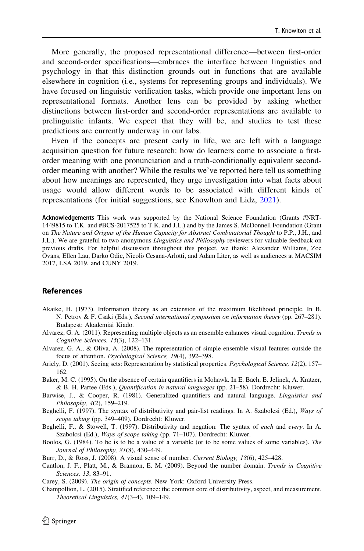More generally, the proposed representational difference—between first-order and second-order specifications—embraces the interface between linguistics and psychology in that this distinction grounds out in functions that are available elsewhere in cognition (i.e., systems for representing groups and individuals). We have focused on linguistic verification tasks, which provide one important lens on representational formats. Another lens can be provided by asking whether distinctions between first-order and second-order representations are available to prelinguistic infants. We expect that they will be, and studies to test these predictions are currently underway in our labs.

Even if the concepts are present early in life, we are left with a language acquisition question for future research: how do learners come to associate a firstorder meaning with one pronunciation and a truth-conditionally equivalent secondorder meaning with another? While the results we've reported here tell us something about how meanings are represented, they urge investigation into what facts about usage would allow different words to be associated with different kinds of representations (for initial suggestions, see Knowlton and Lidz, 2021).

Acknowledgements This work was supported by the National Science Foundation (Grants #NRT-1449815 to T.K. and #BCS-2017525 to T.K. and J.L.) and by the James S. McDonnell Foundation (Grant on The Nature and Origins of the Human Capacity for Abstract Combinatorial Thought to P.P., J.H., and J.L.). We are grateful to two anonymous *Linguistics and Philosophy* reviewers for valuable feedback on previous drafts. For helpful discussion throughout this project, we thank: Alexander Williams, Zoe Ovans, Ellen Lau, Darko Odic, Nicolo` Cesana-Arlotti, and Adam Liter, as well as audiences at MACSIM 2017, LSA 2019, and CUNY 2019.

#### **References**

- Akaike, H. (1973). Information theory as an extension of the maximum likelihood principle. In B. N. Petrov & F. Csaki (Eds.), Second international symposium on information theory (pp. 267–281). Budapest: Akademiai Kiado.
- Alvarez, G. A. (2011). Representing multiple objects as an ensemble enhances visual cognition. Trends in Cognitive Sciences, 15(3), 122–131.
- Alvarez, G. A., & Oliva, A. (2008). The representation of simple ensemble visual features outside the focus of attention. Psychological Science, 19(4), 392–398.
- Ariely, D. (2001). Seeing sets: Representation by statistical properties. Psychological Science, 12(2), 157– 162.
- Baker, M. C. (1995). On the absence of certain quantifiers in Mohawk. In E. Bach, E. Jelinek, A. Kratzer, & B. H. Partee (Eds.), Quantification in natural languages (pp. 21–58). Dordrecht: Kluwer.
- Barwise, J., & Cooper, R. (1981). Generalized quantifiers and natural language. Linguistics and Philosophy, 4(2), 159–219.
- Beghelli, F. (1997). The syntax of distributivity and pair-list readings. In A. Szabolcsi (Ed.), Ways of scope taking (pp. 349–409). Dordrecht: Kluwer.
- Beghelli, F., & Stowell, T. (1997). Distributivity and negation: The syntax of each and every. In A. Szabolcsi (Ed.), Ways of scope taking (pp. 71–107). Dordrecht: Kluwer.
- Boolos, G. (1984). To be is to be a value of a variable (or to be some values of some variables). The Journal of Philosophy, 81(8), 430–449.
- Burr, D., & Ross, J. (2008). A visual sense of number. Current Biology, 18(6), 425–428.
- Cantlon, J. F., Platt, M., & Brannon, E. M. (2009). Beyond the number domain. Trends in Cognitive Sciences, 13, 83–91.
- Carey, S. (2009). The origin of concepts. New York: Oxford University Press.
- Champollion, L. (2015). Stratified reference: the common core of distributivity, aspect, and measurement. Theoretical Linguistics, 41(3–4), 109–149.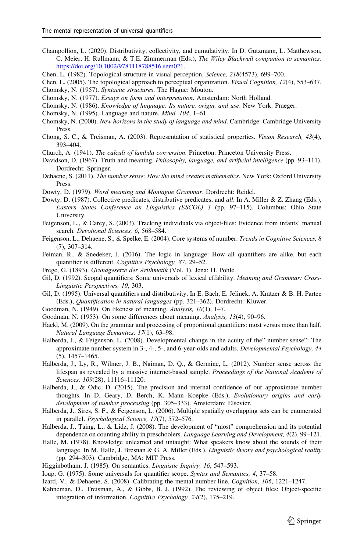- Champollion, L. (2020). Distributivity, collectivity, and cumulativity. In D. Gutzmann, L. Matthewson, C. Meier, H. Rullmann, & T.E. Zimmerman (Eds.), The Wiley Blackwell companion to semantics. https://doi.org/10.1002/9781118788516.sem021.
- Chen, L. (1982). Topological structure in visual perception. Science, 218(4573), 699-700.
- Chen, L. (2005). The topological approach to perceptual organization. Visual Cognition, 12(4), 553–637.
- Chomsky, N. (1957). Syntactic structures. The Hague: Mouton.
- Chomsky, N. (1977). Essays on form and interpretation. Amsterdam: North Holland.
- Chomsky, N. (1986). Knowledge of language: Its nature, origin, and use. New York: Praeger.
- Chomsky, N. (1995). Language and nature. Mind, 104, 1–61.
- Chomsky, N. (2000). New horizons in the study of language and mind. Cambridge: Cambridge University Press.
- Chong, S. C., & Treisman, A. (2003). Representation of statistical properties. Vision Research, 43(4), 393–404.
- Church, A. (1941). The calculi of lambda conversion. Princeton: Princeton University Press.
- Davidson, D. (1967). Truth and meaning. *Philosophy, language, and artificial intelligence* (pp. 93-111). Dordrecht: Springer.
- Dehaene, S. (2011). The number sense: How the mind creates mathematics. New York: Oxford University Press.
- Dowty, D. (1979). Word meaning and Montague Grammar. Dordrecht: Reidel.
- Dowty, D. (1987). Collective predicates, distributive predicates, and all. In A. Miller & Z. Zhang (Eds.), Eastern States Conference on Linguistics (ESCOL) 3 (pp. 97–115). Columbus: Ohio State University.
- Feigenson, L., & Carey, S. (2003). Tracking individuals via object-files: Evidence from infants' manual search. Devotional Sciences, 6, 568–584.
- Feigenson, L., Dehaene, S., & Spelke, E. (2004). Core systems of number. Trends in Cognitive Sciences, 8 (7), 307–314.
- Feiman, R., & Snedeker, J. (2016). The logic in language: How all quantifiers are alike, but each quantifier is different. Cognitive Psychology, 87, 29–52.
- Frege, G. (1893). Grundgesetze der Arithmetik (Vol. 1). Jena: H. Pohle.
- Gil, D. (1992). Scopal quantifiers: Some universals of lexical effability. Meaning and Grammar: Cross-Linguistic Perspectives, 10, 303.
- Gil, D. (1995). Universal quantifiers and distributivity. In E. Bach, E. Jelinek, A. Kratzer & B. H. Partee (Eds.), Quantification in natural languages (pp. 321–362). Dordrecht: Kluwer.
- Goodman, N. (1949). On likeness of meaning. Analysis, 10(1), 1-7.
- Goodman, N. (1953). On some differences about meaning. Analysis, 13(4), 90–96.
- Hackl, M. (2009). On the grammar and processing of proportional quantifiers: most versus more than half. Natural Language Semantics, 17(1), 63–98.
- Halberda, J., & Feigenson, L. (2008). Developmental change in the acuity of the" number sense": The approximate number system in 3-, 4-, 5-, and 6-year-olds and adults. Developmental Psychology, 44 (5), 1457–1465.
- Halberda, J., Ly, R., Wilmer, J. B., Naiman, D. Q., & Germine, L. (2012). Number sense across the lifespan as revealed by a massive internet-based sample. Proceedings of the National Academy of Sciences, 109(28), 11116–11120.
- Halberda, J., & Odic, D. (2015). The precision and internal confidence of our approximate number thoughts. In D. Geary, D. Berch, K. Mann Koepke (Eds.), Evolutionary origins and early development of number processing (pp. 305–333). Amsterdam: Elsevier.
- Halberda, J., Sires, S. F., & Feigenson, L. (2006). Multiple spatially overlapping sets can be enumerated in parallel. Psychological Science, 17(7), 572–576.
- Halberda, J., Taing, L., & Lidz, J. (2008). The development of "most" comprehension and its potential dependence on counting ability in preschoolers. Language Learning and Development, 4(2), 99–121.
- Halle, M. (1978). Knowledge unlearned and untaught: What speakers know about the sounds of their language. In M. Halle, J. Bresnan & G. A. Miller (Eds.), *Linguistic theory and psychological reality* (pp. 294–303). Cambridge, MA: MIT Press.
- Higginbotham, J. (1985). On semantics. Linguistic Inquiry, 16, 547–593.
- Ioup, G. (1975). Some universals for quantifier scope. Syntax and Semantics, 4, 37–58.
- Izard, V., & Dehaene, S. (2008). Calibrating the mental number line. Cognition, 106, 1221–1247.
- Kahneman, D., Treisman, A., & Gibbs, B. J. (1992). The reviewing of object files: Object-specific integration of information. Cognitive Psychology, 24(2), 175–219.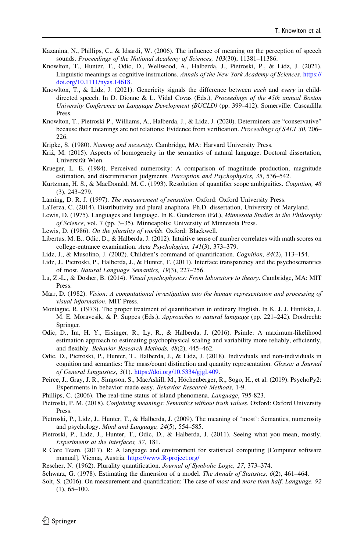- Kazanina, N., Phillips, C., & Idsardi, W. (2006). The influence of meaning on the perception of speech sounds. Proceedings of the National Academy of Sciences, 103(30), 11381–11386.
- Knowlton, T., Hunter, T., Odic, D., Wellwood, A., Halberda, J., Pietroski, P., & Lidz, J. (2021). Linguistic meanings as cognitive instructions. Annals of the New York Academy of Sciences. https:// doi.org/10.1111/nyas.14618.
- Knowlton, T., & Lidz, J. (2021). Genericity signals the difference between *each* and *every* in childdirected speech. In D. Dionne & L. Vidal Covas (Eds.), *Proceedings of the 45th annual Boston* University Conference on Language Development (BUCLD) (pp. 399–412). Somerville: Cascadilla Press.
- Knowlton, T., Pietroski P., Williams, A., Halberda, J., & Lidz, J. (2020). Determiners are "conservative" because their meanings are not relations: Evidence from verification. Proceedings of SALT 30, 206– 226.
- Kripke, S. (1980). Naming and necessity. Cambridge, MA: Harvard University Press.
- Križ, M. (2015). Aspects of homogeneity in the semantics of natural language. Doctoral dissertation, Universität Wien.
- Krueger, L. E. (1984). Perceived numerosity: A comparison of magnitude production, magnitude estimation, and discrimination judgments. Perception and Psychophysics, 35, 536–542.
- Kurtzman, H. S., & MacDonald, M. C. (1993). Resolution of quantifier scope ambiguities. Cognition, 48 (3), 243–279.
- Laming, D. R. J. (1997). The measurement of sensation. Oxford: Oxford University Press.
- LaTerza, C. (2014). Distributivity and plural anaphora. Ph.D. dissertation, University of Maryland.
- Lewis, D. (1975). Languages and language. In K. Gunderson (Ed.), Minnesota Studies in the Philosophy of Science, vol. 7 (pp. 3–35). Minneapolis: University of Minnesota Press.
- Lewis, D. (1986). On the plurality of worlds. Oxford: Blackwell.
- Libertus, M. E., Odic, D., & Halberda, J. (2012). Intuitive sense of number correlates with math scores on college-entrance examination. Acta Psychologica, 141(3), 373–379.
- Lidz, J., & Musolino, J. (2002). Children's command of quantification. Cognition, 84(2), 113–154.
- Lidz, J., Pietroski, P., Halberda, J., & Hunter, T. (2011). Interface transparency and the psychosemantics of most. Natural Language Semantics, 19(3), 227–256.
- Lu, Z.-L., & Dosher, B. (2014). Visual psychophysics: From laboratory to theory. Cambridge, MA: MIT Press.
- Marr, D. (1982). *Vision: A computational investigation into the human representation and processing of* visual information. MIT Press.
- Montague, R. (1973). The proper treatment of quantification in ordinary English. In K. J. J. Hintikka, J. M. E. Moravcsik, & P. Suppes (Eds.), Approaches to natural language (pp. 221–242). Dordrecht: Springer.
- Odic, D., Im, H. Y., Eisinger, R., Ly, R., & Halberda, J. (2016). Psimle: A maximum-likelihood estimation approach to estimating psychophysical scaling and variability more reliably, efficiently, and flexibly. Behavior Research Methods, 48(2), 445–462.
- Odic, D., Pietroski, P., Hunter, T., Halberda, J., & Lidz, J. (2018). Individuals and non-individuals in cognition and semantics: The mass/count distinction and quantity representation. Glossa: a Journal of General Linguistics, 3(1). https://doi.org/10.5334/gjgl.409.
- Peirce, J., Gray, J. R., Simpson, S., MacAskill, M., Höchenberger, R., Sogo, H., et al. (2019). PsychoPy2: Experiments in behavior made easy. Behavior Research Methods, 1-9.
- Phillips, C. (2006). The real-time status of island phenomena. Language, 795-823.
- Pietroski, P. M. (2018). Conjoining meanings: Semantics without truth values. Oxford: Oxford University Press.
- Pietroski, P., Lidz, J., Hunter, T., & Halberda, J. (2009). The meaning of 'most': Semantics, numerosity and psychology. Mind and Language, 24(5), 554–585.
- Pietroski, P., Lidz, J., Hunter, T., Odic, D., & Halberda, J. (2011). Seeing what you mean, mostly. Experiments at the Interfaces, 37, 181.
- R Core Team. (2017). R: A language and environment for statistical computing [Computer software manual]. Vienna, Austria. https://www.R-project.org/
- Rescher, N. (1962). Plurality quantification. Journal of Symbolic Logic, 27, 373–374.
- Schwarz, G. (1978). Estimating the dimension of a model. The Annals of Statistics, 6(2), 461–464.
- Solt, S. (2016). On measurement and quantification: The case of most and more than half. Language, 92  $(1), 65–100.$